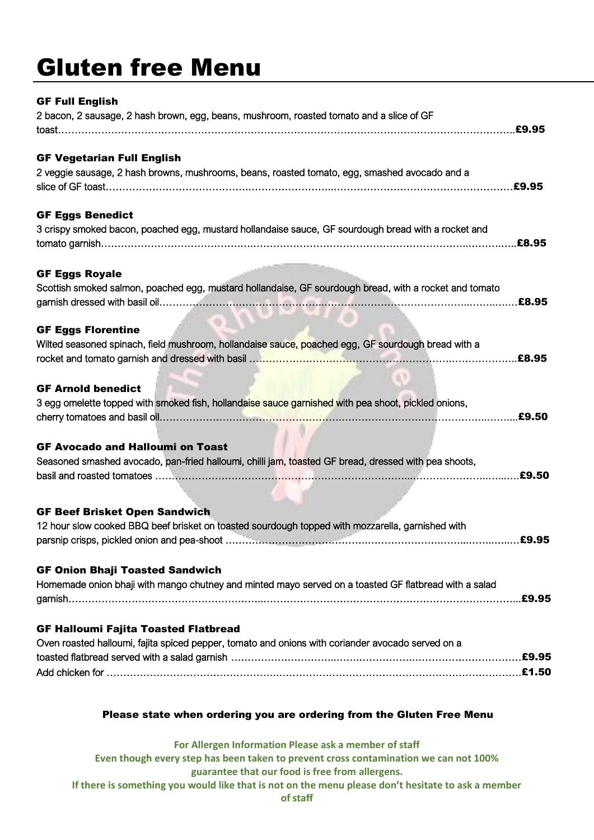## Gluten free Menu

| <b>GF Full English</b><br>2 bacon, 2 sausage, 2 hash brown, egg, beans, mushroom, roasted tomato and a slice of GF                               |       |
|--------------------------------------------------------------------------------------------------------------------------------------------------|-------|
| <b>GF Vegetarian Full English</b><br>2 veggie sausage, 2 hash browns, mushrooms, beans, roasted tomato, egg, smashed avocado and a               |       |
| <b>GF Eggs Benedict</b><br>3 crispy smoked bacon, poached egg, mustard hollandaise sauce, GF sourdough bread with a rocket and                   |       |
| <b>GF Eggs Royale</b><br>Scottish smoked salmon, poached egg, mustard hollandaise, GF sourdough bread, with a rocket and tomato                  |       |
| <b>GF Eggs Florentine</b><br>Wilted seasoned spinach, field mushroom, hollandaise sauce, poached egg, GF sourdough bread with a                  |       |
| <b>GF Arnold benedict</b><br>3 egg omelette topped with smoked fish, hollandaise sauce garnished with pea shoot, pickled onions,                 |       |
| <b>GF Avocado and Halloumi on Toast</b><br>Seasoned smashed avocado, pan-fried halloumi, chilli jam, toasted GF bread, dressed with pea shoots,  |       |
| <b>GF Beef Brisket Open Sandwich</b><br>12 hour slow cooked BBQ beef brisket on toasted sourdough topped with mozzarella, garnished with         | £9.95 |
| <b>GF Onion Bhaji Toasted Sandwich</b><br>Homemade onion bhaji with mango chutney and minted mayo served on a toasted GF flatbread with a salad  |       |
| <b>GF Halloumi Fajita Toasted Flatbread</b><br>Oven roasted halloumi, fajita spiced pepper, tomato and onions with coriander avocado served on a |       |

## Please state when ordering you are ordering from the Gluten Free Menu

**For Allergen Information Please ask a member of staff Even though every step has been taken to prevent cross contamination we can not 100% guarantee that our food is free from allergens. If there is something you would like that is not on the menu please don't hesitate to ask a member of staff**